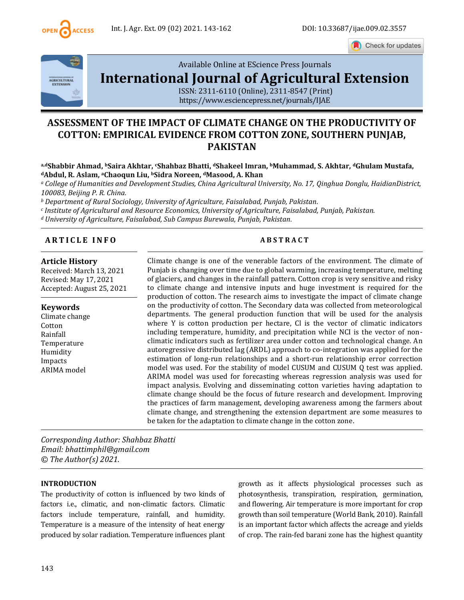

Check for updates



Available Online at EScience Press Journals

# **[International Journal of Agricultural Extension](http://www.escijournals.net/IJER)**

ISSN: 2311-6110 (Online), 2311-8547 (Print) <https://www.esciencepress.net/journals/IJAE>

## **ASSESSMENT OF THE IMPACT OF CLIMATE CHANGE ON THE PRODUCTIVITY OF COTTON: EMPIRICAL EVIDENCE FROM COTTON ZONE, SOUTHERN PUNJAB, PAKISTAN**

#### **a,dShabbir Ahmad, bSaira Akhtar, cShahbaz Bhatti, dShakeel Imran, bMuhammad, S. Akhtar, dGhulam Mustafa, <sup>d</sup>Abdul, R. Aslam, aChaoqun Liu, bSidra Noreen, dMasood, A. Khan**

*<sup>a</sup> College of Humanities and Development Studies, China Agricultural University, No. 17, Qinghua Donglu, HaidianDistrict, 100083, Beijing P. R. China.*

*<sup>b</sup> Department of Rural Sociology, University of Agriculture, Faisalabad, Punjab, Pakistan.*

*c Institute of Agricultural and Resource Economics, University of Agriculture, Faisalabad, Punjab, Pakistan.*

*<sup>d</sup> University of Agriculture, Faisalabad, Sub Campus Burewala, Punjab, Pakistan.*

#### **A R T I C L E I N F O A B S T R A C T**

#### **Article History**

Received: March 13, 2021 Revised: May 17, 2021 Accepted: August 25, 2021

#### **Keywords**

Climate change Cotton Rainfall Temperature Humidity Impacts ARIMA model

Climate change is one of the venerable factors of the environment. The climate of Punjab is changing over time due to global warming, increasing temperature, melting of glaciers, and changes in the rainfall pattern. Cotton crop is very sensitive and risky to climate change and intensive inputs and huge investment is required for the production of cotton. The research aims to investigate the impact of climate change on the productivity of cotton. The Secondary data was collected from meteorological departments. The general production function that will be used for the analysis where Y is cotton production per hectare, Cl is the vector of climatic indicators including temperature, humidity, and precipitation while NCI is the vector of nonclimatic indicators such as fertilizer area under cotton and technological change. An autoregressive distributed lag (ARDL) approach to co-integration was applied for the estimation of long-run relationships and a short-run relationship error correction model was used. For the stability of model CUSUM and CUSUM Q test was applied. ARIMA model was used for forecasting whereas regression analysis was used for impact analysis. Evolving and disseminating cotton varieties having adaptation to climate change should be the focus of future research and development. Improving the practices of farm management, developing awareness among the farmers about climate change, and strengthening the extension department are some measures to be taken for the adaptation to climate change in the cotton zone.

*Corresponding Author: Shahbaz Bhatti Email: bhattimphil@gmail.com © The Author(s) 2021.*

#### **INTRODUCTION**

The productivity of cotton is influenced by two kinds of factors i.e., climatic, and non-climatic factors. Climatic factors include temperature, rainfall, and humidity. Temperature is a measure of the intensity of heat energy produced by solar radiation. Temperature influences plant growth as it affects physiological processes such as photosynthesis, transpiration, respiration, germination, and flowering. Air temperature is more important for crop growth than soil temperature (World Bank, 2010). Rainfall is an important factor which affects the acreage and yields of crop. The rain-fed barani zone has the highest quantity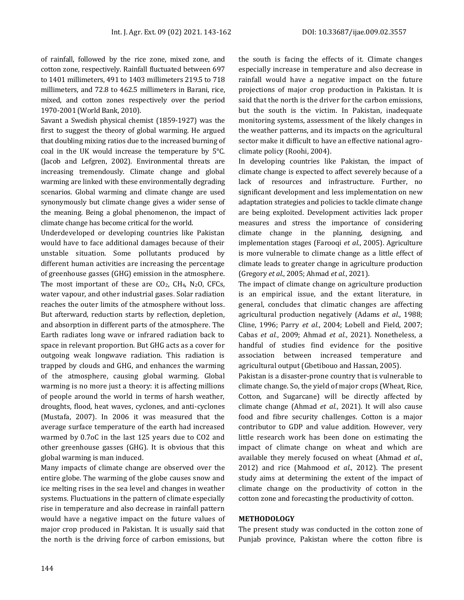of rainfall, followed by the rice zone, mixed zone, and cotton zone, respectively. Rainfall fluctuated between 697 to 1401 millimeters, 491 to 1403 millimeters 219.5 to 718 millimeters, and 72.8 to 462.5 millimeters in Barani, rice, mixed, and cotton zones respectively over the period 1970-2001 (World Bank, 2010).

Savant a Swedish physical chemist (1859-1927) was the first to suggest the theory of global warming. He argued that doubling mixing ratios due to the increased burning of coal in the UK would increase the temperature by 5°C. (Jacob and Lefgren, 2002). Environmental threats are increasing tremendously. Climate change and global warming are linked with these environmentally degrading scenarios. Global warming and climate change are used synonymously but climate change gives a wider sense of the meaning. Being a global phenomenon, the impact of climate change has become critical for the world.

Underdeveloped or developing countries like Pakistan would have to face additional damages because of their unstable situation. Some pollutants produced by different human activities are increasing the percentage of greenhouse gasses (GHG) emission in the atmosphere. The most important of these are  $CO<sub>2</sub>$ , CH<sub>4</sub>, N<sub>2</sub>O, CFCs, water vapour, and other industrial gases. Solar radiation reaches the outer limits of the atmosphere without loss. But afterward, reduction starts by reflection, depletion, and absorption in different parts of the atmosphere. The Earth radiates long wave or infrared radiation back to space in relevant proportion. But GHG acts as a cover for outgoing weak longwave radiation. This radiation is trapped by clouds and GHG, and enhances the warming of the atmosphere, causing global warming. Global warming is no more just a theory: it is affecting millions of people around the world in terms of harsh weather, droughts, flood, heat waves, cyclones, and anti-cyclones (Mustafa, 2007). In 2006 it was measured that the average surface temperature of the earth had increased warmed by 0.7oC in the last 125 years due to CO2 and other greenhouse gasses (GHG). It is obvious that this global warming is man induced.

Many impacts of climate change are observed over the entire globe. The warming of the globe causes snow and ice melting rises in the sea level and changes in weather systems. Fluctuations in the pattern of climate especially rise in temperature and also decrease in rainfall pattern would have a negative impact on the future values of major crop produced in Pakistan. It is usually said that the north is the driving force of carbon emissions, but the south is facing the effects of it. Climate changes especially increase in temperature and also decrease in rainfall would have a negative impact on the future projections of major crop production in Pakistan. It is said that the north is the driver for the carbon emissions, but the south is the victim. In Pakistan, inadequate monitoring systems, assessment of the likely changes in the weather patterns, and its impacts on the agricultural sector make it difficult to have an effective national agroclimate policy (Roohi, 2004).

In developing countries like Pakistan, the impact of climate change is expected to affect severely because of a lack of resources and infrastructure. Further, no significant development and less implementation on new adaptation strategies and policies to tackle climate change are being exploited. Development activities lack proper measures and stress the importance of considering climate change in the planning, designing, and implementation stages (Farooqi *et al.*, 2005). Agriculture is more vulnerable to climate change as a little effect of climate leads to greater change in agriculture production (Gregory *et al.*, 2005; Ahmad *et al.*, 2021).

The impact of climate change on agriculture production is an empirical issue, and the extant literature, in general, concludes that climatic changes are affecting agricultural production negatively (Adams *et al.*, 1988; Cline, 1996; Parry *et al.*, 2004; Lobell and Field, 2007; Cabas *et al.*, 2009; Ahmad *et al.*, 2021). Nonetheless, a handful of studies find evidence for the positive association between increased temperature and agricultural output (Gbetibouo and Hassan, 2005).

Pakistan is a disaster-prone country that is vulnerable to climate change. So, the yield of major crops (Wheat, Rice, Cotton, and Sugarcane) will be directly affected by climate change (Ahmad *et al.*, 2021). It will also cause food and fibre security challenges. Cotton is a major contributor to GDP and value addition. However, very little research work has been done on estimating the impact of climate change on wheat and which are available they merely focused on wheat (Ahmad *et al.*, 2012) and rice (Mahmood *et al.*, 2012). The present study aims at determining the extent of the impact of climate change on the productivity of cotton in the cotton zone and forecasting the productivity of cotton.

#### **METHODOLOGY**

The present study was conducted in the cotton zone of Punjab province, Pakistan where the cotton fibre is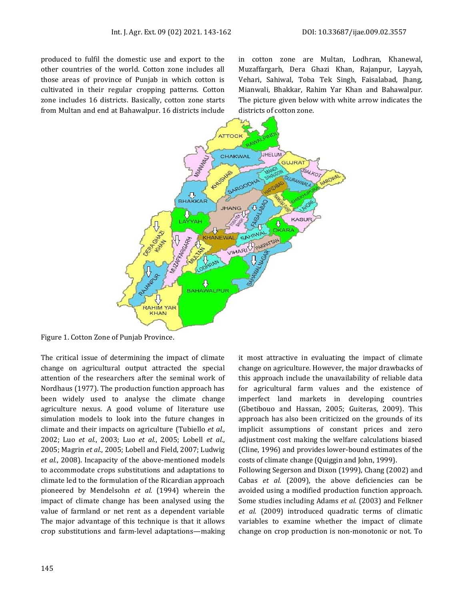produced to fulfil the domestic use and export to the other countries of the world. Cotton zone includes all those areas of province of Punjab in which cotton is cultivated in their regular cropping patterns. Cotton zone includes 16 districts. Basically, cotton zone starts from Multan and end at Bahawalpur. 16 districts include in cotton zone are Multan, Lodhran, Khanewal, Muzaffargarh, Dera Ghazi Khan, Rajanpur, Layyah, Vehari, Sahiwal, Toba Tek Singh, Faisalabad, Jhang, Mianwali, Bhakkar, Rahim Yar Khan and Bahawalpur. The picture given below with white arrow indicates the districts of cotton zone.



Figure 1. Cotton Zone of Punjab Province.

The critical issue of determining the impact of climate change on agricultural output attracted the special attention of the researchers after the seminal work of Nordhaus (1977). The production function approach has been widely used to analyse the climate change agriculture nexus. A good volume of literature use simulation models to look into the future changes in climate and their impacts on agriculture (Tubiello *et al.*, 2002; Luo *et al.*, 2003; Luo *et al.*, 2005; Lobell *et al.*, 2005; Magrin *et al.*, 2005; Lobell and Field, 2007; Ludwig *et al.*, 2008). Incapacity of the above-mentioned models to accommodate crops substitutions and adaptations to climate led to the formulation of the Ricardian approach pioneered by Mendelsohn *et al.* (1994) wherein the impact of climate change has been analysed using the value of farmland or net rent as a dependent variable The major advantage of this technique is that it allows crop substitutions and farm-level adaptations—making

it most attractive in evaluating the impact of climate change on agriculture. However, the major drawbacks of this approach include the unavailability of reliable data for agricultural farm values and the existence of imperfect land markets in developing countries (Gbetibouo and Hassan, 2005; Guiteras, 2009). This approach has also been criticized on the grounds of its implicit assumptions of constant prices and zero adjustment cost making the welfare calculations biased (Cline, 1996) and provides lower-bound estimates of the costs of climate change (Quiggin and John, 1999).

Following Segerson and Dixon (1999), Chang (2002) and Cabas *et al.* (2009), the above deficiencies can be avoided using a modified production function approach. Some studies including Adams *et al.* (2003) and Felkner *et al.* (2009) introduced quadratic terms of climatic variables to examine whether the impact of climate change on crop production is non-monotonic or not. To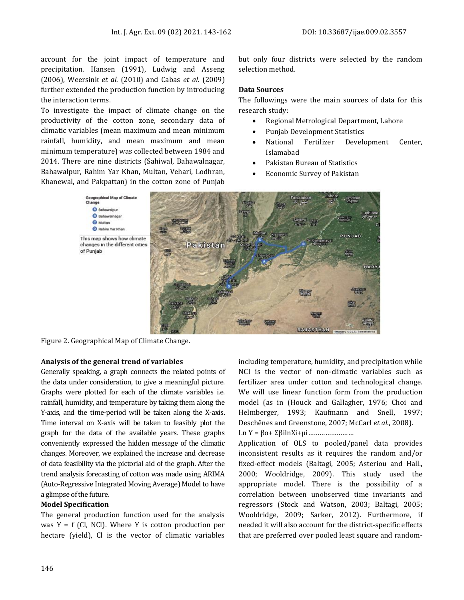account for the joint impact of temperature and precipitation. Hansen (1991), Ludwig and Asseng (2006), Weersink *et al.* (2010) and Cabas *et al.* (2009) further extended the production function by introducing the interaction terms.

To investigate the impact of climate change on the productivity of the cotton zone, secondary data of climatic variables (mean maximum and mean minimum rainfall, humidity, and mean maximum and mean minimum temperature) was collected between 1984 and 2014. There are nine districts (Sahiwal, Bahawalnagar, Bahawalpur, Rahim Yar Khan, Multan, Vehari, Lodhran, Khanewal, and Pakpattan) in the cotton zone of Punjab

but only four districts were selected by the random selection method.

#### **Data Sources**

The followings were the main sources of data for this research study:

- Regional Metrological Department, Lahore
- Punjab Development Statistics
- National Fertilizer Development Center, Islamabad
- Pakistan Bureau of Statistics
- Economic Survey of Pakistan



Figure 2. Geographical Map of Climate Change.

#### **Analysis of the general trend of variables**

Generally speaking, a graph connects the related points of the data under consideration, to give a meaningful picture. Graphs were plotted for each of the climate variables i.e. rainfall, humidity, and temperature by taking them along the Y-axis, and the time-period will be taken along the X-axis. Time interval on X-axis will be taken to feasibly plot the graph for the data of the available years. These graphs conveniently expressed the hidden message of the climatic changes. Moreover, we explained the increase and decrease of data feasibility via the pictorial aid of the graph. After the trend analysis forecasting of cotton was made using ARIMA (Auto-Regressive Integrated Moving Average) Model to have a glimpse of the future.

#### **Model Specification**

The general production function used for the analysis was  $Y = f$  (Cl, NCl). Where Y is cotton production per hectare (yield), Cl is the vector of climatic variables including temperature, humidity, and precipitation while NCI is the vector of non-climatic variables such as fertilizer area under cotton and technological change. We will use linear function form from the production model (as in (Houck and Gallagher, 1976; Choi and Helmberger, 1993; Kaufmann and Snell, 1997; Deschênes and Greenstone, 2007; McCarl *et al.*, 2008). Ln Y = βo+ ΣβilnXi+µi……………………

Application of OLS to pooled/panel data provides inconsistent results as it requires the random and/or fixed-effect models (Baltagi, 2005; Asteriou and Hall., 2000; Wooldridge, 2009). This study used the appropriate model. There is the possibility of a correlation between unobserved time invariants and regressors (Stock and Watson, 2003; Baltagi, 2005; Wooldridge, 2009; Sarker, 2012). Furthermore, if needed it will also account for the district-specific effects that are preferred over pooled least square and random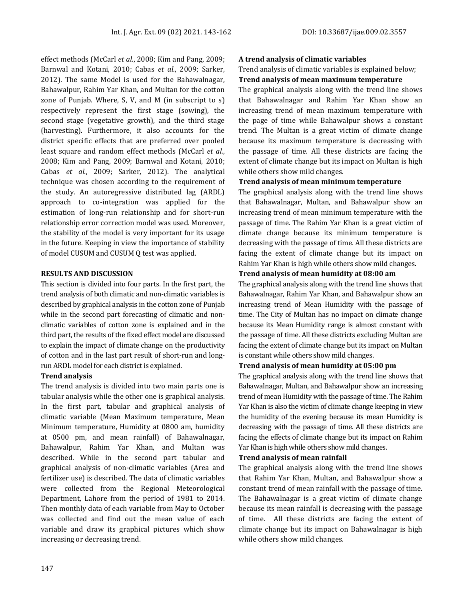effect methods (McCarl *et al.*, 2008; Kim and Pang, 2009; Barnwal and Kotani, 2010; Cabas *et al.*, 2009; Sarker, 2012). The same Model is used for the Bahawalnagar, Bahawalpur, Rahim Yar Khan, and Multan for the cotton zone of Punjab. Where, S, V, and M (in subscript to s) respectively represent the first stage (sowing), the second stage (vegetative growth), and the third stage (harvesting). Furthermore, it also accounts for the district specific effects that are preferred over pooled least square and random effect methods (McCarl *et al.*, 2008; Kim and Pang, 2009; Barnwal and Kotani, 2010; Cabas *et al.*, 2009; Sarker, 2012). The analytical technique was chosen according to the requirement of the study. An autoregressive distributed lag (ARDL) approach to co-integration was applied for the estimation of long-run relationship and for short-run relationship error correction model was used. Moreover, the stability of the model is very important for its usage in the future. Keeping in view the importance of stability of model CUSUM and CUSUM Q test was applied.

#### **RESULTS AND DISCUSSION**

This section is divided into four parts. In the first part, the trend analysis of both climatic and non-climatic variables is described by graphical analysis in the cotton zone of Punjab while in the second part forecasting of climatic and nonclimatic variables of cotton zone is explained and in the third part, the results of the fixed effect model are discussed to explain the impact of climate change on the productivity of cotton and in the last part result of short-run and longrun ARDL model for each district is explained.

#### **Trend analysis**

The trend analysis is divided into two main parts one is tabular analysis while the other one is graphical analysis. In the first part, tabular and graphical analysis of climatic variable (Mean Maximum temperature, Mean Minimum temperature, Humidity at 0800 am, humidity at 0500 pm, and mean rainfall) of Bahawalnagar, Bahawalpur, Rahim Yar Khan, and Multan was described. While in the second part tabular and graphical analysis of non-climatic variables (Area and fertilizer use) is described. The data of climatic variables were collected from the Regional Meteorological Department, Lahore from the period of 1981 to 2014. Then monthly data of each variable from May to October was collected and find out the mean value of each variable and draw its graphical pictures which show increasing or decreasing trend.

#### **A trend analysis of climatic variables**

Trend analysis of climatic variables is explained below;

#### **Trend analysis of mean maximum temperature**

The graphical analysis along with the trend line shows that Bahawalnagar and Rahim Yar Khan show an increasing trend of mean maximum temperature with the page of time while Bahawalpur shows a constant trend. The Multan is a great victim of climate change because its maximum temperature is decreasing with the passage of time. All these districts are facing the extent of climate change but its impact on Multan is high while others show mild changes.

#### **Trend analysis of mean minimum temperature**

The graphical analysis along with the trend line shows that Bahawalnagar, Multan, and Bahawalpur show an increasing trend of mean minimum temperature with the passage of time. The Rahim Yar Khan is a great victim of climate change because its minimum temperature is decreasing with the passage of time. All these districts are facing the extent of climate change but its impact on Rahim Yar Khan is high while others show mild changes.

#### **Trend analysis of mean humidity at 08:00 am**

The graphical analysis along with the trend line shows that Bahawalnagar, Rahim Yar Khan, and Bahawalpur show an increasing trend of Mean Humidity with the passage of time. The City of Multan has no impact on climate change because its Mean Humidity range is almost constant with the passage of time. All these districts excluding Multan are facing the extent of climate change but its impact on Multan is constant while others show mild changes.

#### **Trend analysis of mean humidity at 05:00 pm**

The graphical analysis along with the trend line shows that Bahawalnagar, Multan, and Bahawalpur show an increasing trend of mean Humidity with the passage of time. The Rahim Yar Khan is also the victim of climate change keeping in view the humidity of the evening because its mean Humidity is decreasing with the passage of time. All these districts are facing the effects of climate change but its impact on Rahim Yar Khan is high while others show mild changes.

#### **Trend analysis of mean rainfall**

The graphical analysis along with the trend line shows that Rahim Yar Khan, Multan, and Bahawalpur show a constant trend of mean rainfall with the passage of time. The Bahawalnagar is a great victim of climate change because its mean rainfall is decreasing with the passage of time. All these districts are facing the extent of climate change but its impact on Bahawalnagar is high while others show mild changes.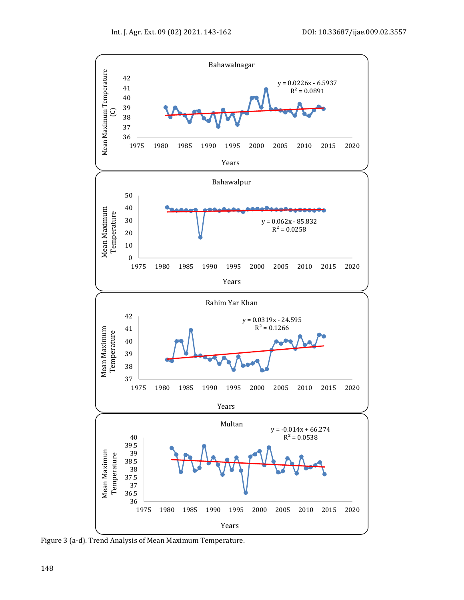

Figure 3 (a-d). Trend Analysis of Mean Maximum Temperature.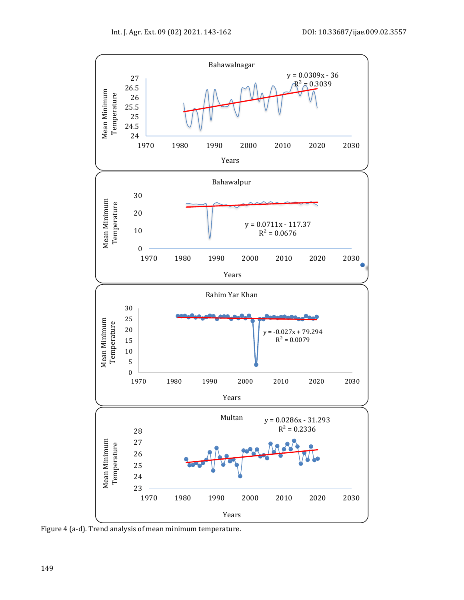

Figure 4 (a-d). Trend analysis of mean minimum temperature.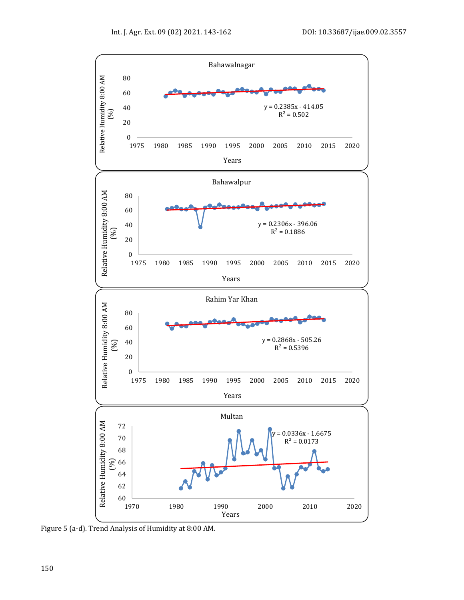

Figure 5 (a-d). Trend Analysis of Humidity at 8:00 AM.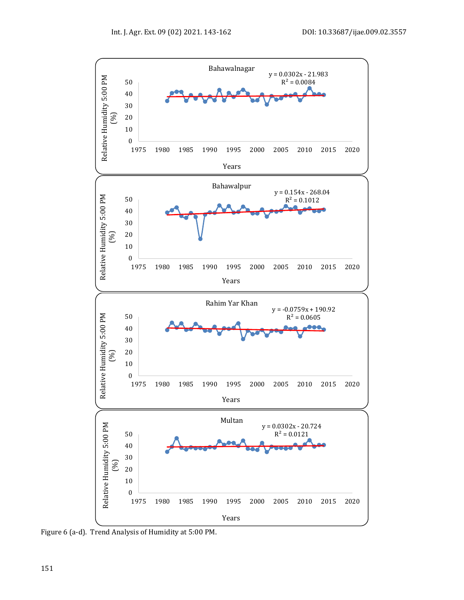

Figure 6 (a-d). Trend Analysis of Humidity at 5:00 PM.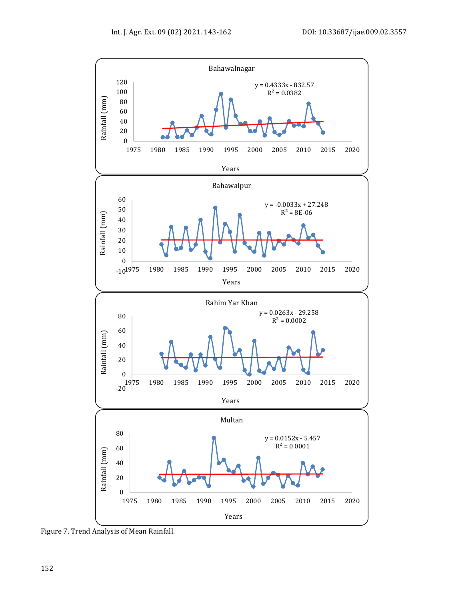

Figure 7. Trend Analysis of Mean Rainfall.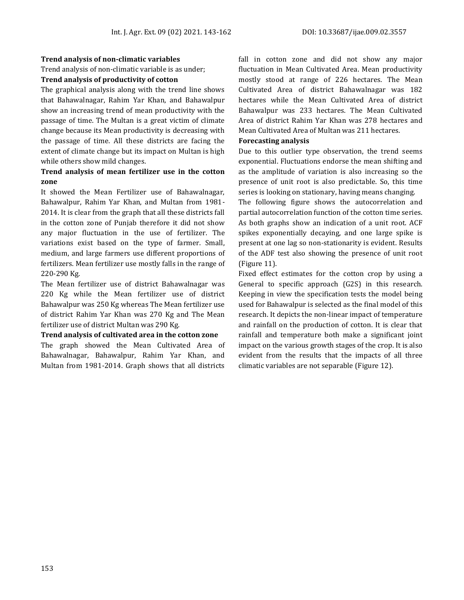#### **Trend analysis of non-climatic variables**

Trend analysis of non-climatic variable is as under;

#### **Trend analysis of productivity of cotton**

The graphical analysis along with the trend line shows that Bahawalnagar, Rahim Yar Khan, and Bahawalpur show an increasing trend of mean productivity with the passage of time. The Multan is a great victim of climate change because its Mean productivity is decreasing with the passage of time. All these districts are facing the extent of climate change but its impact on Multan is high while others show mild changes.

#### **Trend analysis of mean fertilizer use in the cotton zone**

It showed the Mean Fertilizer use of Bahawalnagar, Bahawalpur, Rahim Yar Khan, and Multan from 1981- 2014. It is clear from the graph that all these districts fall in the cotton zone of Punjab therefore it did not show any major fluctuation in the use of fertilizer. The variations exist based on the type of farmer. Small, medium, and large farmers use different proportions of fertilizers. Mean fertilizer use mostly falls in the range of 220-290 Kg.

The Mean fertilizer use of district Bahawalnagar was 220 Kg while the Mean fertilizer use of district Bahawalpur was 250 Kg whereas The Mean fertilizer use of district Rahim Yar Khan was 270 Kg and The Mean fertilizer use of district Multan was 290 Kg.

#### **Trend analysis of cultivated area in the cotton zone**

The graph showed the Mean Cultivated Area of Bahawalnagar, Bahawalpur, Rahim Yar Khan, and Multan from 1981-2014. Graph shows that all districts

fall in cotton zone and did not show any major fluctuation in Mean Cultivated Area. Mean productivity mostly stood at range of 226 hectares. The Mean Cultivated Area of district Bahawalnagar was 182 hectares while the Mean Cultivated Area of district Bahawalpur was 233 hectares. The Mean Cultivated Area of district Rahim Yar Khan was 278 hectares and Mean Cultivated Area of Multan was 211 hectares.

#### **Forecasting analysis**

Due to this outlier type observation, the trend seems exponential. Fluctuations endorse the mean shifting and as the amplitude of variation is also increasing so the presence of unit root is also predictable. So, this time series is looking on stationary, having means changing.

The following figure shows the autocorrelation and partial autocorrelation function of the cotton time series. As both graphs show an indication of a unit root. ACF spikes exponentially decaying, and one large spike is present at one lag so non-stationarity is evident. Results of the ADF test also showing the presence of unit root (Figure 11).

Fixed effect estimates for the cotton crop by using a General to specific approach (G2S) in this research. Keeping in view the specification tests the model being used for Bahawalpur is selected as the final model of this research. It depicts the non-linear impact of temperature and rainfall on the production of cotton. It is clear that rainfall and temperature both make a significant joint impact on the various growth stages of the crop. It is also evident from the results that the impacts of all three climatic variables are not separable (Figure 12).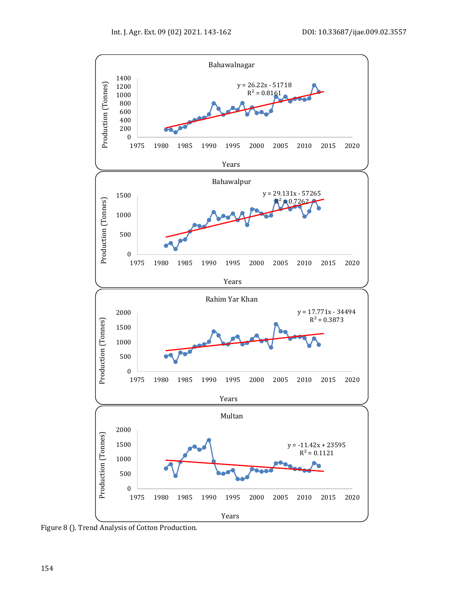

Figure 8 (). Trend Analysis of Cotton Production.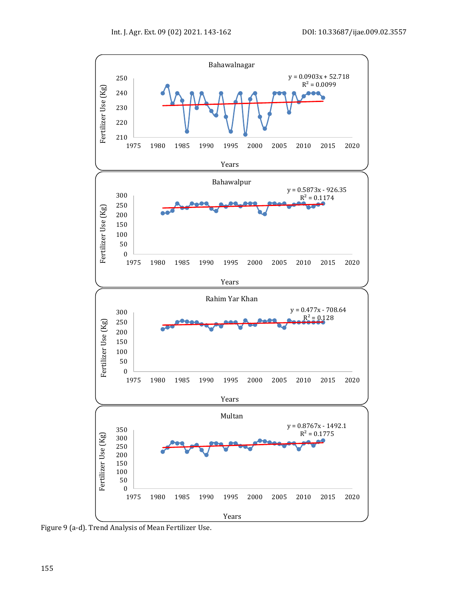

Figure 9 (a-d). Trend Analysis of Mean Fertilizer Use.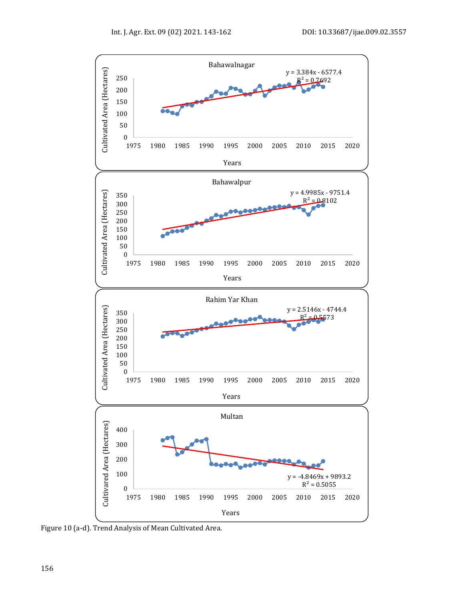

Figure 10 (a-d). Trend Analysis of Mean Cultivated Area.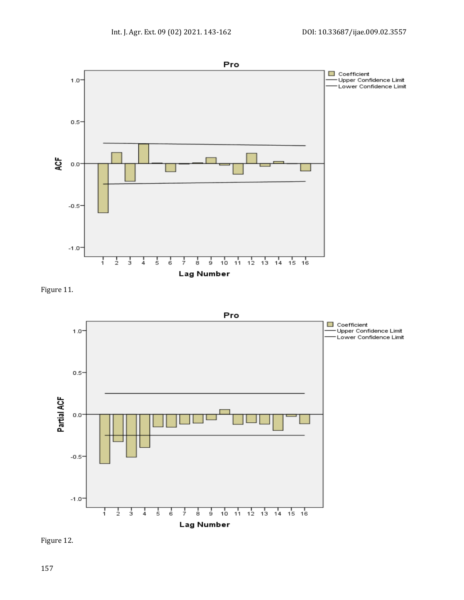

Figure 11.



Figure 12.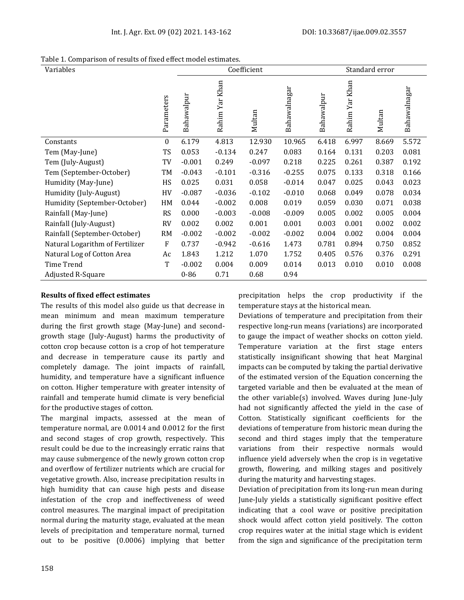Table 1. Comparison of results of fixed effect model estimates.

| Variables                       |                  | Coefficient |                |          | Standard error |            |                |        |              |
|---------------------------------|------------------|-------------|----------------|----------|----------------|------------|----------------|--------|--------------|
|                                 | Parameters       | Bahawalpur  | Rahim Yar Khan | Multan   | Bahawalnagar   | Bahawalpur | Rahim Yar Khan | Multan | Bahawalnagar |
| Constants                       | $\boldsymbol{0}$ | 6.179       | 4.813          | 12.930   | 10.965         | 6.418      | 6.997          | 8.669  | 5.572        |
| Tem (May-June)                  | TS               | 0.053       | $-0.134$       | 0.247    | 0.083          | 0.164      | 0.131          | 0.203  | 0.081        |
| Tem (July-August)               | TV               | $-0.001$    | 0.249          | $-0.097$ | 0.218          | 0.225      | 0.261          | 0.387  | 0.192        |
| Tem (September-October)         | TM               | $-0.043$    | $-0.101$       | $-0.316$ | $-0.255$       | 0.075      | 0.133          | 0.318  | 0.166        |
| Humidity (May-June)             | HS               | 0.025       | 0.031          | 0.058    | $-0.014$       | 0.047      | 0.025          | 0.043  | 0.023        |
| Humidity (July-August)          | HV               | $-0.087$    | $-0.036$       | $-0.102$ | $-0.010$       | 0.068      | 0.049          | 0.078  | 0.034        |
| Humidity (September-October)    | HM               | 0.044       | $-0.002$       | 0.008    | 0.019          | 0.059      | 0.030          | 0.071  | 0.038        |
| Rainfall (May-June)             | <b>RS</b>        | 0.000       | $-0.003$       | $-0.008$ | $-0.009$       | 0.005      | 0.002          | 0.005  | 0.004        |
| Rainfall (July-August)          | <b>RV</b>        | 0.002       | 0.002          | 0.001    | 0.001          | 0.003      | 0.001          | 0.002  | 0.002        |
| Rainfall (September-October)    | <b>RM</b>        | $-0.002$    | $-0.002$       | $-0.002$ | $-0.002$       | 0.004      | 0.002          | 0.004  | 0.004        |
| Natural Logarithm of Fertilizer | $\boldsymbol{F}$ | 0.737       | $-0.942$       | $-0.616$ | 1.473          | 0.781      | 0.894          | 0.750  | 0.852        |
| Natural Log of Cotton Area      | Ac               | 1.843       | 1.212          | 1.070    | 1.752          | 0.405      | 0.576          | 0.376  | 0.291        |
| Time Trend                      | T                | $-0.002$    | 0.004          | 0.009    | 0.014          | 0.013      | 0.010          | 0.010  | 0.008        |
| <b>Adjusted R-Square</b>        |                  | $0 - 86$    | 0.71           | 0.68     | 0.94           |            |                |        |              |

### **Results of fixed effect estimates**

The results of this model also guide us that decrease in mean minimum and mean maximum temperature during the first growth stage (May-June) and secondgrowth stage (July-August) harms the productivity of cotton crop because cotton is a crop of hot temperature and decrease in temperature cause its partly and completely damage. The joint impacts of rainfall, humidity, and temperature have a significant influence on cotton. Higher temperature with greater intensity of rainfall and temperate humid climate is very beneficial for the productive stages of cotton.

The marginal impacts, assessed at the mean of temperature normal, are 0.0014 and 0.0012 for the first and second stages of crop growth, respectively. This result could be due to the increasingly erratic rains that may cause submergence of the newly grown cotton crop and overflow of fertilizer nutrients which are crucial for vegetative growth. Also, increase precipitation results in high humidity that can cause high pests and disease infestation of the crop and ineffectiveness of weed control measures. The marginal impact of precipitation normal during the maturity stage, evaluated at the mean levels of precipitation and temperature normal, turned out to be positive (0.0006) implying that better

precipitation helps the crop productivity if the temperature stays at the historical mean.

Deviations of temperature and precipitation from their respective long-run means (variations) are incorporated to gauge the impact of weather shocks on cotton yield. Temperature variation at the first stage enters statistically insignificant showing that heat Marginal impacts can be computed by taking the partial derivative of the estimated version of the Equation concerning the targeted variable and then be evaluated at the mean of the other variable(s) involved. Waves during June-July had not significantly affected the yield in the case of Cotton. Statistically significant coefficients for the deviations of temperature from historic mean during the second and third stages imply that the temperature variations from their respective normals would influence yield adversely when the crop is in vegetative growth, flowering, and milking stages and positively during the maturity and harvesting stages.

Deviation of precipitation from its long-run mean during June-July yields a statistically significant positive effect indicating that a cool wave or positive precipitation shock would affect cotton yield positively. The cotton crop requires water at the initial stage which is evident from the sign and significance of the precipitation term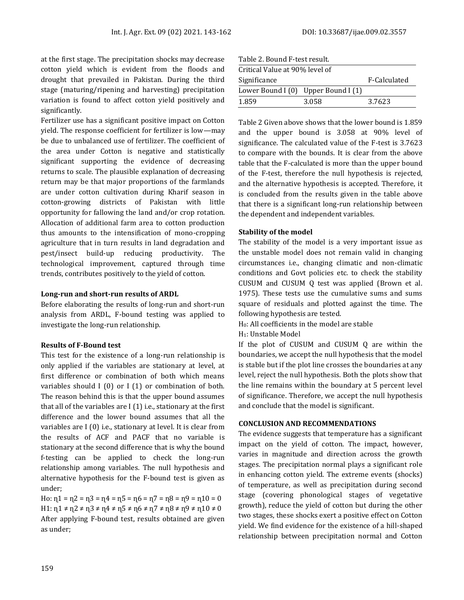at the first stage. The precipitation shocks may decrease cotton yield which is evident from the floods and drought that prevailed in Pakistan. During the third stage (maturing/ripening and harvesting) precipitation variation is found to affect cotton yield positively and significantly.

Fertilizer use has a significant positive impact on Cotton yield. The response coefficient for fertilizer is low—may be due to unbalanced use of fertilizer. The coefficient of the area under Cotton is negative and statistically significant supporting the evidence of decreasing returns to scale. The plausible explanation of decreasing return may be that major proportions of the farmlands are under cotton cultivation during Kharif season in cotton-growing districts of Pakistan with little opportunity for fallowing the land and/or crop rotation. Allocation of additional farm area to cotton production thus amounts to the intensification of mono-cropping agriculture that in turn results in land degradation and pest/insect build-up reducing productivity. The technological improvement, captured through time trends, contributes positively to the yield of cotton.

#### **Long-run and short-run results of ARDL**

Before elaborating the results of long-run and short-run analysis from ARDL, F-bound testing was applied to investigate the long-run relationship.

#### **Results of F-Bound test**

This test for the existence of a long-run relationship is only applied if the variables are stationary at level, at first difference or combination of both which means variables should I (0) or I (1) or combination of both. The reason behind this is that the upper bound assumes that all of the variables are I (1) i.e., stationary at the first difference and the lower bound assumes that all the variables are I (0) i.e., stationary at level. It is clear from the results of ACF and PACF that no variable is stationary at the second difference that is why the bound f-testing can be applied to check the long-run relationship among variables. The null hypothesis and alternative hypothesis for the F-bound test is given as under;

Ho:  $n_1 = n_2 = n_3 = n_4 = n_5 = n_6 = n_7 = n_8 = n_9 = n_1 = 0$  $H1: \eta_1 \neq \eta_2 \neq \eta_3 \neq \eta_4 \neq \eta_5 \neq \eta_6 \neq \eta_7 \neq \eta_8 \neq \eta_9 \neq \eta_1_0 \neq 0$ After applying F-bound test, results obtained are given as under;

Table 2. Bound F-test result.

| Critical Value at 90% level of      |       |              |  |  |  |  |  |
|-------------------------------------|-------|--------------|--|--|--|--|--|
| Significance                        |       | F-Calculated |  |  |  |  |  |
| Lower Bound I (0) Upper Bound I (1) |       |              |  |  |  |  |  |
| 1.859                               | 3.058 | 3.7623       |  |  |  |  |  |

Table 2 Given above shows that the lower bound is 1.859 and the upper bound is 3.058 at 90% level of significance. The calculated value of the F-test is 3.7623 to compare with the bounds. It is clear from the above table that the F-calculated is more than the upper bound of the F-test, therefore the null hypothesis is rejected, and the alternative hypothesis is accepted. Therefore, it is concluded from the results given in the table above that there is a significant long-run relationship between the dependent and independent variables.

#### **Stability of the model**

The stability of the model is a very important issue as the unstable model does not remain valid in changing circumstances i.e., changing climatic and non-climatic conditions and Govt policies etc. to check the stability CUSUM and CUSUM Q test was applied (Brown et al. 1975). These tests use the cumulative sums and sums square of residuals and plotted against the time. The following hypothesis are tested.

H0: All coefficients in the model are stable

H1: Unstable Model

If the plot of CUSUM and CUSUM Q are within the boundaries, we accept the null hypothesis that the model is stable but if the plot line crosses the boundaries at any level, reject the null hypothesis. Both the plots show that the line remains within the boundary at 5 percent level of significance. Therefore, we accept the null hypothesis and conclude that the model is significant.

#### **CONCLUSION AND RECOMMENDATIONS**

The evidence suggests that temperature has a significant impact on the yield of cotton. The impact, however, varies in magnitude and direction across the growth stages. The precipitation normal plays a significant role in enhancing cotton yield. The extreme events (shocks) of temperature, as well as precipitation during second stage (covering phonological stages of vegetative growth), reduce the yield of cotton but during the other two stages, these shocks exert a positive effect on Cotton yield. We find evidence for the existence of a hill-shaped relationship between precipitation normal and Cotton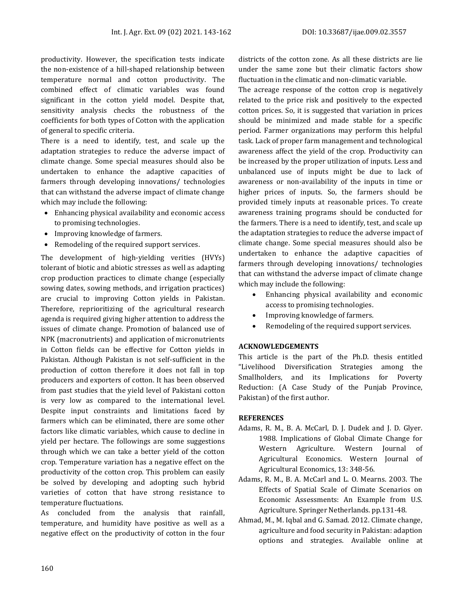productivity. However, the specification tests indicate the non-existence of a hill-shaped relationship between temperature normal and cotton productivity. The combined effect of climatic variables was found significant in the cotton yield model. Despite that, sensitivity analysis checks the robustness of the coefficients for both types of Cotton with the application of general to specific criteria.

There is a need to identify, test, and scale up the adaptation strategies to reduce the adverse impact of climate change. Some special measures should also be undertaken to enhance the adaptive capacities of farmers through developing innovations/ technologies that can withstand the adverse impact of climate change which may include the following:

- Enhancing physical availability and economic access to promising technologies.
- Improving knowledge of farmers.
- Remodeling of the required support services.

The development of high-yielding verities (HVYs) tolerant of biotic and abiotic stresses as well as adapting crop production practices to climate change (especially sowing dates, sowing methods, and irrigation practices) are crucial to improving Cotton yields in Pakistan. Therefore, reprioritizing of the agricultural research agenda is required giving higher attention to address the issues of climate change. Promotion of balanced use of NPK (macronutrients) and application of micronutrients in Cotton fields can be effective for Cotton yields in Pakistan. Although Pakistan is not self-sufficient in the production of cotton therefore it does not fall in top producers and exporters of cotton. It has been observed from past studies that the yield level of Pakistani cotton is very low as compared to the international level. Despite input constraints and limitations faced by farmers which can be eliminated, there are some other factors like climatic variables, which cause to decline in yield per hectare. The followings are some suggestions through which we can take a better yield of the cotton crop. Temperature variation has a negative effect on the productivity of the cotton crop. This problem can easily be solved by developing and adopting such hybrid varieties of cotton that have strong resistance to temperature fluctuations.

As concluded from the analysis that rainfall, temperature, and humidity have positive as well as a negative effect on the productivity of cotton in the four

districts of the cotton zone. As all these districts are lie under the same zone but their climatic factors show fluctuation in the climatic and non-climatic variable.

The acreage response of the cotton crop is negatively related to the price risk and positively to the expected cotton prices. So, it is suggested that variation in prices should be minimized and made stable for a specific period. Farmer organizations may perform this helpful task. Lack of proper farm management and technological awareness affect the yield of the crop. Productivity can be increased by the proper utilization of inputs. Less and unbalanced use of inputs might be due to lack of awareness or non-availability of the inputs in time or higher prices of inputs. So, the farmers should be provided timely inputs at reasonable prices. To create awareness training programs should be conducted for the farmers. There is a need to identify, test, and scale up the adaptation strategies to reduce the adverse impact of climate change. Some special measures should also be undertaken to enhance the adaptive capacities of farmers through developing innovations/ technologies that can withstand the adverse impact of climate change which may include the following:

- Enhancing physical availability and economic access to promising technologies.
- Improving knowledge of farmers.
- Remodeling of the required support services.

#### **ACKNOWLEDGEMENTS**

This article is the part of the Ph.D. thesis entitled "Livelihood Diversification Strategies among the Smallholders, and its Implications for Poverty Reduction: (A Case Study of the Punjab Province, Pakistan) of the first author.

#### **REFERENCES**

- Adams, R. M., B. A. McCarl, D. J. Dudek and J. D. Glyer. 1988. Implications of Global Climate Change for Western Agriculture. Western Journal of Agricultural Economics. Western Journal of Agricultural Economics, 13: 348-56.
- Adams, R. M., B. A. McCarl and L. O. Mearns. 2003. The Effects of Spatial Scale of Climate Scenarios on Economic Assessments: An Example from U.S. Agriculture. Springer Netherlands. pp.131-48.
- Ahmad, M., M. Iqbal and G. Samad. 2012. Climate change, agriculture and food security in Pakistan: adaption options and strategies. Available online at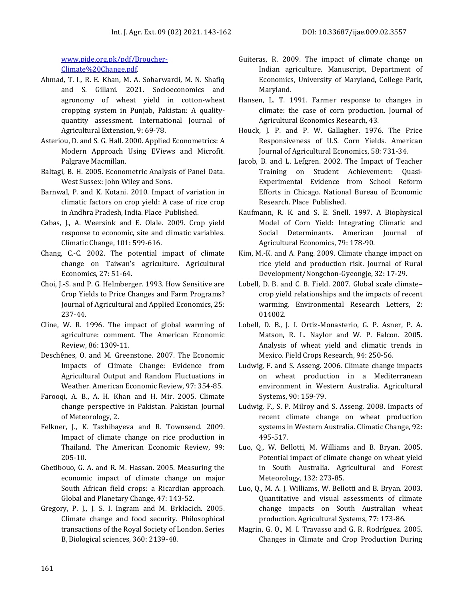[www.pide.org.pk/pdf/Broucher-](www.pide.org.pk/pdf/Broucher-Climate%20Change.pdf)[Climate%20Change.pdf.](www.pide.org.pk/pdf/Broucher-Climate%20Change.pdf)

- Ahmad, T. I., R. E. Khan, M. A. Soharwardi, M. N. Shafiq and S. Gillani. 2021. Socioeconomics and agronomy of wheat yield in cotton-wheat cropping system in Punjab, Pakistan: A qualityquantity assessment. International Journal of Agricultural Extension, 9: 69-78.
- Asteriou, D. and S. G. Hall. 2000. Applied Econometrics: A Modern Approach Using EViews and Microfit. Palgrave Macmillan.
- Baltagi, B. H. 2005. Econometric Analysis of Panel Data. West Sussex: John Wiley and Sons.
- Barnwal, P. and K. Kotani. 2010. Impact of variation in climatic factors on crop yield: A case of rice crop in Andhra Pradesh, India. Place Published.
- Cabas, J., A. Weersink and E. Olale. 2009. Crop yield response to economic, site and climatic variables. Climatic Change, 101: 599-616.
- Chang, C.-C. 2002. The potential impact of climate change on Taiwan's agriculture. Agricultural Economics, 27: 51-64.
- Choi, J.-S. and P. G. Helmberger. 1993. How Sensitive are Crop Yields to Price Changes and Farm Programs? Journal of Agricultural and Applied Economics, 25: 237-44.
- Cline, W. R. 1996. The impact of global warming of agriculture: comment. The American Economic Review, 86: 1309-11.
- Deschênes, O. and M. Greenstone. 2007. The Economic Impacts of Climate Change: Evidence from Agricultural Output and Random Fluctuations in Weather. American Economic Review, 97: 354-85.
- Farooqi, A. B., A. H. Khan and H. Mir. 2005. Climate change perspective in Pakistan. Pakistan Journal of Meteorology, 2.
- Felkner, J., K. Tazhibayeva and R. Townsend. 2009. Impact of climate change on rice production in Thailand. The American Economic Review, 99: 205-10.
- Gbetibouo, G. A. and R. M. Hassan. 2005. Measuring the economic impact of climate change on major South African field crops: a Ricardian approach. Global and Planetary Change, 47: 143-52.
- Gregory, P. J., J. S. I. Ingram and M. Brklacich. 2005. Climate change and food security. Philosophical transactions of the Royal Society of London. Series B, Biological sciences, 360: 2139-48.
- Guiteras, R. 2009. The impact of climate change on Indian agriculture. Manuscript, Department of Economics, University of Maryland, College Park, Maryland.
- Hansen, L. T. 1991. Farmer response to changes in climate: the case of corn production. Journal of Agricultural Economics Research, 43.
- Houck, J. P. and P. W. Gallagher. 1976. The Price Responsiveness of U.S. Corn Yields. American Journal of Agricultural Economics, 58: 731-34.
- Jacob, B. and L. Lefgren. 2002. The Impact of Teacher Training on Student Achievement: Quasi-Experimental Evidence from School Reform Efforts in Chicago. National Bureau of Economic Research. Place Published.
- Kaufmann, R. K. and S. E. Snell. 1997. A Biophysical Model of Corn Yield: Integrating Climatic and Social Determinants. American Journal of Agricultural Economics, 79: 178-90.
- Kim, M.-K. and A. Pang. 2009. Climate change impact on rice yield and production risk. Journal of Rural Development/Nongchon-Gyeongje, 32: 17-29.
- Lobell, D. B. and C. B. Field. 2007. Global scale climate– crop yield relationships and the impacts of recent warming. Environmental Research Letters, 2: 014002.
- Lobell, D. B., J. I. Ortiz-Monasterio, G. P. Asner, P. A. Matson, R. L. Naylor and W. P. Falcon. 2005. Analysis of wheat yield and climatic trends in Mexico. Field Crops Research, 94: 250-56.
- Ludwig, F. and S. Asseng. 2006. Climate change impacts on wheat production in a Mediterranean environment in Western Australia. Agricultural Systems, 90: 159-79.
- Ludwig, F., S. P. Milroy and S. Asseng. 2008. Impacts of recent climate change on wheat production systems in Western Australia. Climatic Change, 92: 495-517.
- Luo, Q., W. Bellotti, M. Williams and B. Bryan. 2005. Potential impact of climate change on wheat yield in South Australia. Agricultural and Forest Meteorology, 132: 273-85.
- Luo, Q., M. A. J. Williams, W. Bellotti and B. Bryan. 2003. Quantitative and visual assessments of climate change impacts on South Australian wheat production. Agricultural Systems, 77: 173-86.
- Magrin, G. O., M. I. Travasso and G. R. Rodríguez. 2005. Changes in Climate and Crop Production During